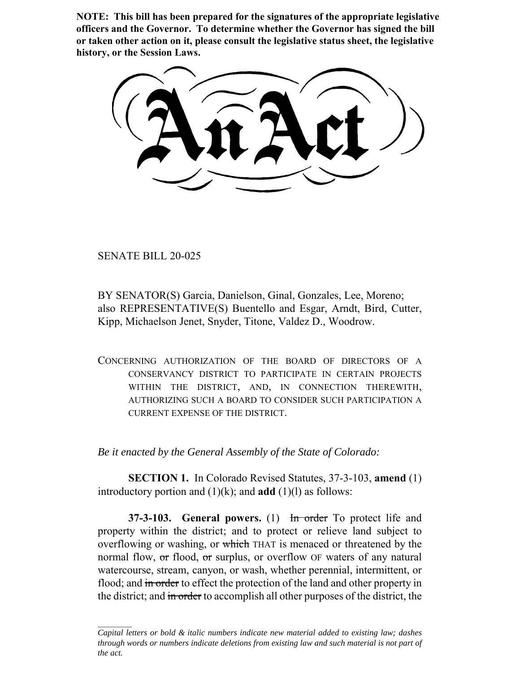**NOTE: This bill has been prepared for the signatures of the appropriate legislative officers and the Governor. To determine whether the Governor has signed the bill or taken other action on it, please consult the legislative status sheet, the legislative history, or the Session Laws.**

SENATE BILL 20-025

BY SENATOR(S) Garcia, Danielson, Ginal, Gonzales, Lee, Moreno; also REPRESENTATIVE(S) Buentello and Esgar, Arndt, Bird, Cutter, Kipp, Michaelson Jenet, Snyder, Titone, Valdez D., Woodrow.

CONCERNING AUTHORIZATION OF THE BOARD OF DIRECTORS OF A CONSERVANCY DISTRICT TO PARTICIPATE IN CERTAIN PROJECTS WITHIN THE DISTRICT, AND, IN CONNECTION THEREWITH, AUTHORIZING SUCH A BOARD TO CONSIDER SUCH PARTICIPATION A CURRENT EXPENSE OF THE DISTRICT.

*Be it enacted by the General Assembly of the State of Colorado:*

**SECTION 1.** In Colorado Revised Statutes, 37-3-103, **amend** (1) introductory portion and (1)(k); and **add** (1)(l) as follows:

**37-3-103.** General powers. (1) In order To protect life and property within the district; and to protect or relieve land subject to overflowing or washing, or which THAT is menaced or threatened by the normal flow, or flood, or surplus, or overflow OF waters of any natural watercourse, stream, canyon, or wash, whether perennial, intermittent, or flood; and in order to effect the protection of the land and other property in the district; and in order to accomplish all other purposes of the district, the

*Capital letters or bold & italic numbers indicate new material added to existing law; dashes through words or numbers indicate deletions from existing law and such material is not part of the act.*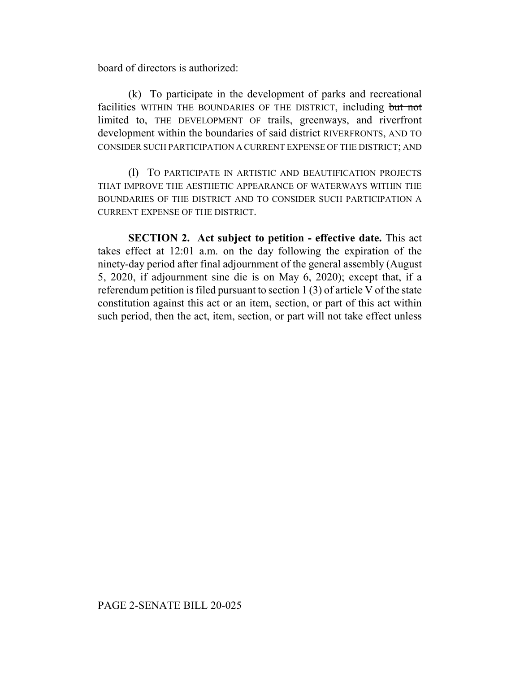board of directors is authorized:

(k) To participate in the development of parks and recreational facilities WITHIN THE BOUNDARIES OF THE DISTRICT, including but not limited to, THE DEVELOPMENT OF trails, greenways, and riverfront development within the boundaries of said district RIVERFRONTS, AND TO CONSIDER SUCH PARTICIPATION A CURRENT EXPENSE OF THE DISTRICT; AND

(l) TO PARTICIPATE IN ARTISTIC AND BEAUTIFICATION PROJECTS THAT IMPROVE THE AESTHETIC APPEARANCE OF WATERWAYS WITHIN THE BOUNDARIES OF THE DISTRICT AND TO CONSIDER SUCH PARTICIPATION A CURRENT EXPENSE OF THE DISTRICT.

**SECTION 2. Act subject to petition - effective date.** This act takes effect at 12:01 a.m. on the day following the expiration of the ninety-day period after final adjournment of the general assembly (August 5, 2020, if adjournment sine die is on May 6, 2020); except that, if a referendum petition is filed pursuant to section 1 (3) of article V of the state constitution against this act or an item, section, or part of this act within such period, then the act, item, section, or part will not take effect unless